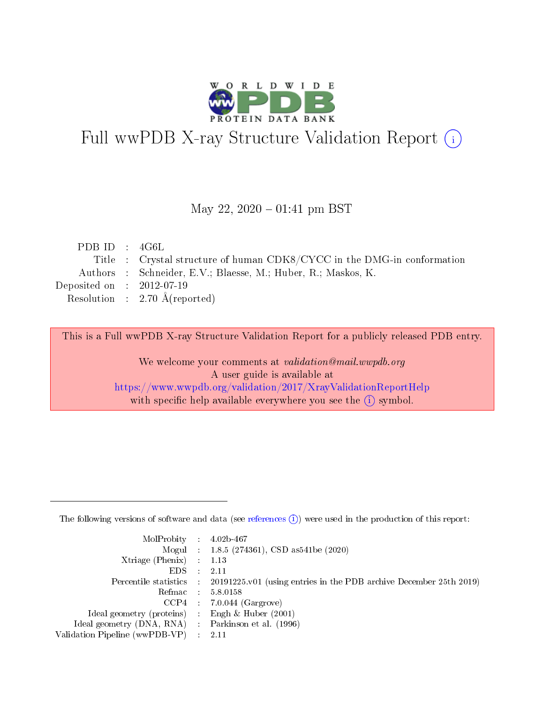

# Full wwPDB X-ray Structure Validation Report (i)

#### May 22,  $2020 - 01:41$  pm BST

| PDB ID : $4G6L$             |                                                                         |
|-----------------------------|-------------------------------------------------------------------------|
|                             | Title : Crystal structure of human CDK8/CYCC in the DMG-in conformation |
|                             | Authors : Schneider, E.V.; Blaesse, M.; Huber, R.; Maskos, K.           |
| Deposited on : $2012-07-19$ |                                                                         |
|                             | Resolution : $2.70 \text{ Å}$ (reported)                                |
|                             |                                                                         |

This is a Full wwPDB X-ray Structure Validation Report for a publicly released PDB entry.

We welcome your comments at validation@mail.wwpdb.org A user guide is available at <https://www.wwpdb.org/validation/2017/XrayValidationReportHelp> with specific help available everywhere you see the  $(i)$  symbol.

The following versions of software and data (see [references](https://www.wwpdb.org/validation/2017/XrayValidationReportHelp#references)  $(1)$ ) were used in the production of this report:

| $MolProbability$ : 4.02b-467                        |                                                                                            |
|-----------------------------------------------------|--------------------------------------------------------------------------------------------|
|                                                     | Mogul : $1.8.5$ (274361), CSD as 541be (2020)                                              |
| Xtriage (Phenix) $: 1.13$                           |                                                                                            |
| EDS                                                 | -2.11                                                                                      |
|                                                     | Percentile statistics : 20191225.v01 (using entries in the PDB archive December 25th 2019) |
| Refmac 58.0158                                      |                                                                                            |
|                                                     | $CCP4$ 7.0.044 (Gargrove)                                                                  |
| Ideal geometry (proteins) : Engh $\&$ Huber (2001)  |                                                                                            |
| Ideal geometry (DNA, RNA) : Parkinson et al. (1996) |                                                                                            |
| Validation Pipeline (wwPDB-VP) : 2.11               |                                                                                            |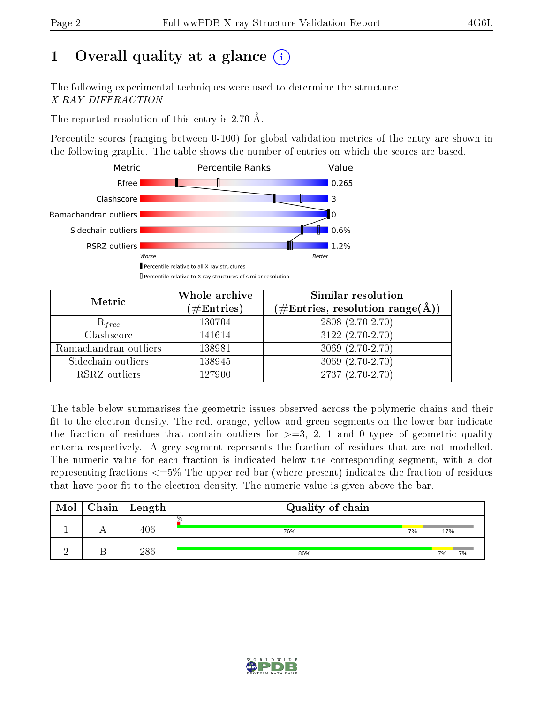## 1 [O](https://www.wwpdb.org/validation/2017/XrayValidationReportHelp#overall_quality)verall quality at a glance  $(i)$

The following experimental techniques were used to determine the structure: X-RAY DIFFRACTION

The reported resolution of this entry is 2.70 Å.

Percentile scores (ranging between 0-100) for global validation metrics of the entry are shown in the following graphic. The table shows the number of entries on which the scores are based.



| Metric                | Whole archive<br>$(\#\text{Entries})$ | Similar resolution<br>$(\#\text{Entries}, \text{resolution range}(\text{\AA}))$ |
|-----------------------|---------------------------------------|---------------------------------------------------------------------------------|
| $R_{free}$            | 130704                                | $2808(2.70-2.70)$                                                               |
| Clashscore            | 141614                                | $3122(2.70-2.70)$                                                               |
| Ramachandran outliers | 138981                                | $3069(2.70-2.70)$                                                               |
| Sidechain outliers    | 138945                                | $3069(2.70-2.70)$                                                               |
| RSRZ outliers         | 127900                                | $2737(2.70-2.70)$                                                               |

The table below summarises the geometric issues observed across the polymeric chains and their fit to the electron density. The red, orange, yellow and green segments on the lower bar indicate the fraction of residues that contain outliers for  $>=3, 2, 1$  and 0 types of geometric quality criteria respectively. A grey segment represents the fraction of residues that are not modelled. The numeric value for each fraction is indicated below the corresponding segment, with a dot representing fractions  $\epsilon=5\%$  The upper red bar (where present) indicates the fraction of residues that have poor fit to the electron density. The numeric value is given above the bar.

| Mol | ${\rm Chain \mid Length}$ | Quality of chain |           |    |  |  |  |  |
|-----|---------------------------|------------------|-----------|----|--|--|--|--|
|     | $406\,$                   | $\%$<br>76%      | 7%<br>17% |    |  |  |  |  |
|     | 286                       | 86%              | 7%        | 7% |  |  |  |  |

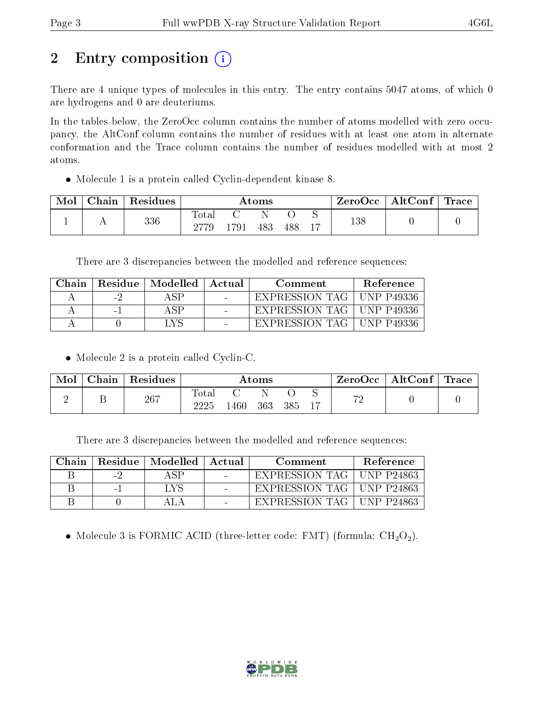## 2 Entry composition  $\left( \cdot \right)$

There are 4 unique types of molecules in this entry. The entry contains 5047 atoms, of which 0 are hydrogens and 0 are deuteriums.

In the tables below, the ZeroOcc column contains the number of atoms modelled with zero occupancy, the AltConf column contains the number of residues with at least one atom in alternate conformation and the Trace column contains the number of residues modelled with at most 2 atoms.

Molecule 1 is a protein called Cyclin-dependent kinase 8.

| Mol | Chain | Residues | Atoms       |      |     | ZeroOcc | $\mid$ AltConf $\mid$ Trace |     |  |  |
|-----|-------|----------|-------------|------|-----|---------|-----------------------------|-----|--|--|
|     |       | 336      | $\rm Total$ | -791 | 483 | 488     |                             | 138 |  |  |

There are 3 discrepancies between the modelled and reference sequences:

| ∋hain | Residue  | Modelled | Actual | Comment        | Reference    |
|-------|----------|----------|--------|----------------|--------------|
|       | ÷        |          |        | EXPRESSION TAG | ' UNP P49336 |
|       | $\sim$ . |          |        | EXPRESSION TAG | ' UNP P49336 |
|       |          |          |        | EXPRESSION TAG | INP P49336   |

• Molecule 2 is a protein called Cyclin-C.

| Mol | Chain | Residues | Atoms               |      |     |     | AltConf | $\perp$ Trace |  |  |
|-----|-------|----------|---------------------|------|-----|-----|---------|---------------|--|--|
|     |       | 267      | $\rm Total$<br>วววร | .460 | 363 | 385 |         | ഗ             |  |  |

There are 3 discrepancies between the modelled and reference sequences:

| Chain |     | Residue   Modelled   Actual | Comment                     | <b>Reference</b> |
|-------|-----|-----------------------------|-----------------------------|------------------|
|       | - 7 |                             | EXPRESSION TAG   UNP P24863 |                  |
|       | -   | LVS                         | EXPRESSION TAG   UNP P24863 |                  |
|       |     |                             | EXPRESSION TAG   UNP P24863 |                  |

• Molecule 3 is FORMIC ACID (three-letter code: FMT) (formula:  $CH<sub>2</sub>O<sub>2</sub>$ ).

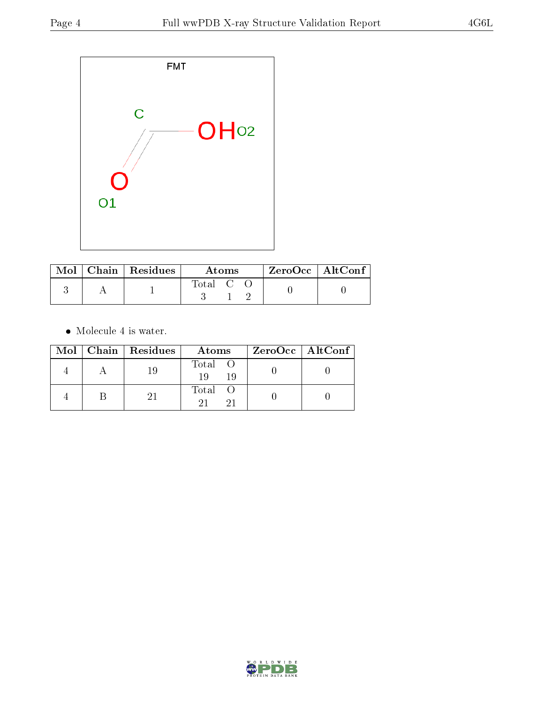

|  | $\text{Mol}$   Chain   Residues | Atoms   |  |  | ZeroOcc   AltConf |  |
|--|---------------------------------|---------|--|--|-------------------|--|
|  |                                 | Total C |  |  |                   |  |

 $\bullet\,$  Molecule 4 is water.

|  | Mol   Chain   Residues | Atoms               | $ZeroOcc \   \ AltConf \  $ |
|--|------------------------|---------------------|-----------------------------|
|  | -19                    | Total O<br>19<br>19 |                             |
|  |                        | Total O             |                             |

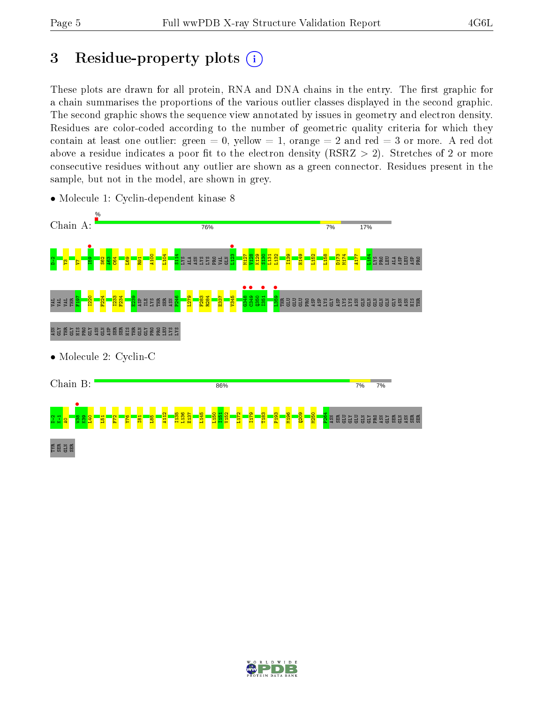## 3 Residue-property plots  $(i)$

These plots are drawn for all protein, RNA and DNA chains in the entry. The first graphic for a chain summarises the proportions of the various outlier classes displayed in the second graphic. The second graphic shows the sequence view annotated by issues in geometry and electron density. Residues are color-coded according to the number of geometric quality criteria for which they contain at least one outlier: green  $= 0$ , yellow  $= 1$ , orange  $= 2$  and red  $= 3$  or more. A red dot above a residue indicates a poor fit to the electron density (RSRZ  $> 2$ ). Stretches of 2 or more consecutive residues without any outlier are shown as a green connector. Residues present in the sample, but not in the model, are shown in grey.



• Molecule 1: Cyclin-dependent kinase 8

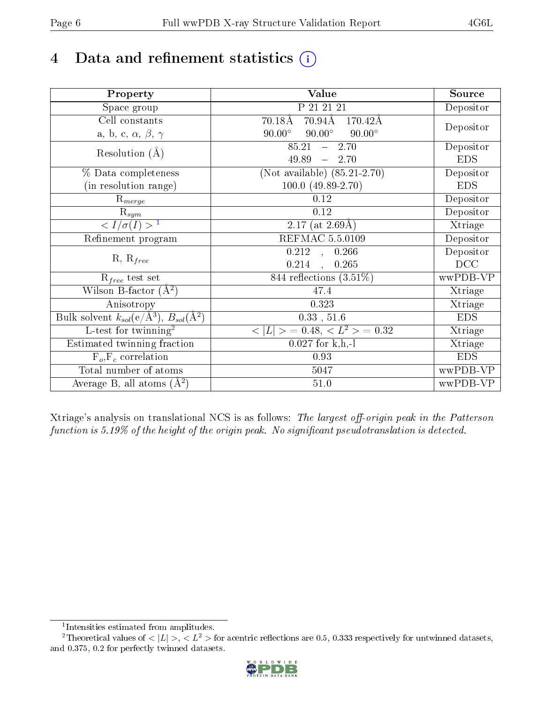## 4 Data and refinement statistics  $(i)$

| Property                                                             | Value                                             | Source     |
|----------------------------------------------------------------------|---------------------------------------------------|------------|
| Space group                                                          | P 21 21 21                                        | Depositor  |
| Cell constants                                                       | $70.94\text{\AA}$<br>$70.18\text{\AA}$<br>170.42Å |            |
| a, b, c, $\alpha$ , $\beta$ , $\gamma$                               | $90.00^\circ$<br>$90.00^\circ$<br>$90.00^\circ$   | Depositor  |
| Resolution $(A)$                                                     | 85.21<br>2.70<br>$\frac{1}{2}$                    | Depositor  |
|                                                                      | 49.89<br>$-2.70$                                  | <b>EDS</b> |
| % Data completeness                                                  | (Not available) $(85.21-2.70)$                    | Depositor  |
| (in resolution range)                                                | $100.0 (49.89 - 2.70)$                            | <b>EDS</b> |
| $\mathrm{R}_{merge}$                                                 | 0.12                                              | Depositor  |
| $\mathrm{R}_{sym}$                                                   | 0.12                                              | Depositor  |
| $\sqrt{I/\sigma(I)} > 1$                                             | $2.17$ (at $2.69\text{\AA}$ )                     | Xtriage    |
| Refinement program                                                   | <b>REFMAC 5.5.0109</b>                            | Depositor  |
|                                                                      | $\overline{0.212}$ ,<br>0.266                     | Depositor  |
| $R, R_{free}$                                                        | 0.214<br>0.265<br>$\ddot{\phantom{a}}$            | DCC        |
| $R_{free}$ test set                                                  | 844 reflections $(3.51\%)$                        | wwPDB-VP   |
| Wilson B-factor $(A^2)$                                              | 47.4                                              | Xtriage    |
| Anisotropy                                                           | 0.323                                             | Xtriage    |
| Bulk solvent $k_{sol}(e/\mathring{A}^3)$ , $B_{sol}(\mathring{A}^2)$ | 0.33, 51.6                                        | <b>EDS</b> |
| $\overline{L-test for}$ twinning <sup>2</sup>                        | $< L >$ = 0.48, $< L2$ = 0.32                     | Xtriage    |
| Estimated twinning fraction                                          | $0.027$ for k,h,-l                                | Xtriage    |
| $F_o, F_c$ correlation                                               | 0.93                                              | <b>EDS</b> |
| Total number of atoms                                                | 5047                                              | wwPDB-VP   |
| Average B, all atoms $(A^2)$                                         | $51.0\,$                                          | wwPDB-VP   |

Xtriage's analysis on translational NCS is as follows: The largest off-origin peak in the Patterson function is  $5.19\%$  of the height of the origin peak. No significant pseudotranslation is detected.

<sup>&</sup>lt;sup>2</sup>Theoretical values of  $\langle |L| \rangle$ ,  $\langle L^2 \rangle$  for acentric reflections are 0.5, 0.333 respectively for untwinned datasets, and 0.375, 0.2 for perfectly twinned datasets.



<span id="page-5-1"></span><span id="page-5-0"></span><sup>1</sup> Intensities estimated from amplitudes.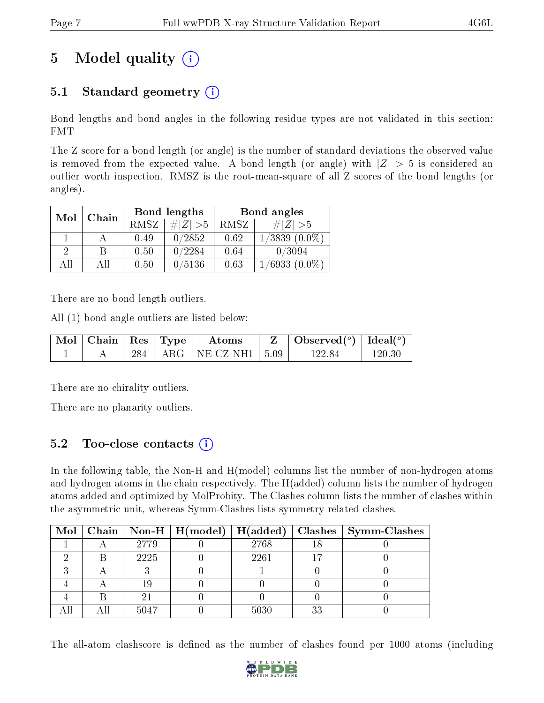## 5 Model quality  $(i)$

### 5.1 Standard geometry  $(i)$

Bond lengths and bond angles in the following residue types are not validated in this section: FMT

The Z score for a bond length (or angle) is the number of standard deviations the observed value is removed from the expected value. A bond length (or angle) with  $|Z| > 5$  is considered an outlier worth inspection. RMSZ is the root-mean-square of all Z scores of the bond lengths (or angles).

| Mol | Chain |      | Bond lengths | Bond angles |                    |  |
|-----|-------|------|--------------|-------------|--------------------|--|
|     |       | RMSZ | $\# Z  > 5$  | RMSZ        | $\# Z  > 5$        |  |
|     |       | 0.49 | 0/2852       | 0.62        | $1/3839$ $(0.0\%)$ |  |
| 2   | B     | 0.50 | 0/2284       | 0.64        | 0/3094             |  |
| AH  | Аll   | 0.50 | 0/5136       | 0.63        | $1/6933(0.0\%)$    |  |

There are no bond length outliers.

All (1) bond angle outliers are listed below:

| $\vert$ Mol $\vert$ Chain $\vert$ Res $\vert$ Type $\vert$ |  | Atoms                          | $\vert$ Observed $(^\circ)$ $\vert$ Ideal $(^\circ)$ |        |
|------------------------------------------------------------|--|--------------------------------|------------------------------------------------------|--------|
|                                                            |  | $284$   ARG   NE-CZ-NH1   5.09 | 122.84                                               | 120.30 |

There are no chirality outliers.

There are no planarity outliers.

#### 5.2 Too-close contacts (i)

In the following table, the Non-H and H(model) columns list the number of non-hydrogen atoms and hydrogen atoms in the chain respectively. The H(added) column lists the number of hydrogen atoms added and optimized by MolProbity. The Clashes column lists the number of clashes within the asymmetric unit, whereas Symm-Clashes lists symmetry related clashes.

|  |      |      |     | Mol   Chain   Non-H   H(model)   H(added)   Clashes   Symm-Clashes |
|--|------|------|-----|--------------------------------------------------------------------|
|  | 2779 | 2768 |     |                                                                    |
|  | 2225 | 2261 |     |                                                                    |
|  |      |      |     |                                                                    |
|  |      |      |     |                                                                    |
|  |      |      |     |                                                                    |
|  | 5047 | 5030 | วุว |                                                                    |

The all-atom clashscore is defined as the number of clashes found per 1000 atoms (including

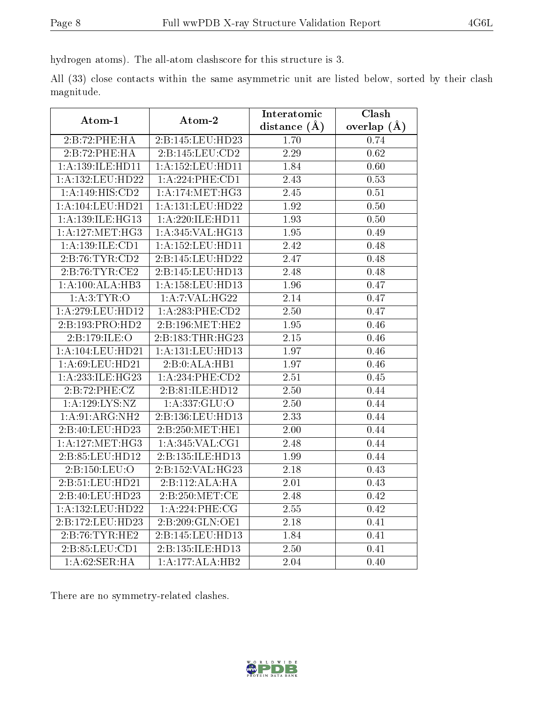hydrogen atoms). The all-atom clashscore for this structure is 3.

All (33) close contacts within the same asymmetric unit are listed below, sorted by their clash magnitude.

|                      |                      | Interatomic       | Clash           |  |
|----------------------|----------------------|-------------------|-----------------|--|
| Atom-1               | Atom-2               | distance $(\AA)$  | overlap $(\AA)$ |  |
| 2:B:72:PHE:HA        | 2:B:145:LEU:HD23     | 1.70              | 0.74            |  |
| 2:B:72:PHE:HA        | 2: B: 145: LEU: CD2  | 2.29              | 0.62            |  |
| 1: A: 139: ILE: HD11 | 1: A: 152: LEU: HD11 | 1.84              | 0.60            |  |
| 1:A:132:LEU:HD22     | 1: A:224:PHE:CD1     | 2.43              | 0.53            |  |
| 1:A:149:HIS:CD2      | 1: A:174: MET:HG3    | 2.45              | 0.51            |  |
| $1:$ A:104:LEU:HD21  | 1:A:131:LEU:HD22     | 1.92              | 0.50            |  |
| 1: A: 139: ILE: HG13 | 1: A:220: ILE: HD11  | 1.93              | 0.50            |  |
| 1: A:127: MET:HG3    | 1:A:345:VAL:HG13     | 1.95              | 0.49            |  |
| 1:A:139:ILE:CD1      | 1: A: 152: LEU: HD11 | 2.42              | 0.48            |  |
| 2:B:76:TYR:CD2       | 2:B:145:LEU:HD22     | 2.47              | 0.48            |  |
| 2:B:76:TYR:CE2       | 2:B:145:LEU:HD13     | 2.48              | 0.48            |  |
| 1:A:100:ALA:HB3      | 1:A:158:LEU:HD13     | 1.96              | 0.47            |  |
| 1:A:3:TYR:O          | 1:A:7:VAL:HG22       | 2.14              | 0.47            |  |
| 1:A:279:LEU:HD12     | 1: A:283:PHE:CD2     | 2.50              | 0.47            |  |
| 2:B:193:PRO:HD2      | 2: B: 196: MET: HE2  | 1.95              | 0.46            |  |
| 2:B:179:ILE:O        | 2:B:183:THR:HG23     | $\overline{2.15}$ | 0.46            |  |
| 1: A: 104: LEU: HD21 | 1: A: 131: LEU: HD13 | 1.97              | 0.46            |  |
| 1: A:69:LEU:HD21     | 2:B:0:ALA:HB1        | 1.97              | 0.46            |  |
| 1: A:233: ILE: HG23  | $1: A:234:$ PHE:CD2  | 2.51              | 0.45            |  |
| 2:B:72:PHE:CZ        | 2:B:81:ILE:HD12      | 2.50              | 0.44            |  |
| 1:A:129:LYS:NZ       | 1: A: 337: GLU: O    | 2.50              | 0.44            |  |
| 1:A:91:ARG:NH2       | 2:B:136:LEU:HD13     | 2.33              | 0.44            |  |
| 2:B:40:LEU:HD23      | 2:B:250:MET:HE1      | 2.00              | 0.44            |  |
| 1: A:127: MET:HG3    | 1: A:345: VAL:CG1    | 2.48              | 0.44            |  |
| 2:B:85:LEU:HD12      | 2:B:135:ILE:HD13     | 1.99              | 0.44            |  |
| 2:B:150:LEU:O        | 2:B:152:VAL:HG23     | 2.18              | 0.43            |  |
| 2:B:51:LEU:HD21      | 2:B:112:ALA:HA       | 2.01              | 0.43            |  |
| 2:B:40:LEU:HD23      | 2: B: 250: MET:CE    | 2.48              | 0.42            |  |
| 1:A:132:LEU:HD22     | 1:A:224:PHE:CG       | 2.55              | 0.42            |  |
| 2:B:172:LEU:HD23     | 2:B:209:GLN:OE1      | 2.18              | 0.41            |  |
| 2:B:76:TYR:HE2       | 2:B:145:LEU:HD13     | 1.84              | 0.41            |  |
| 2:B:85:LEU:CD1       | 2:B:135:ILE:HD13     | 2.50              | 0.41            |  |
| 1:A:62:SER:HA        | 1:A:177:ALA:HB2      | 2.04              | 0.40            |  |

There are no symmetry-related clashes.

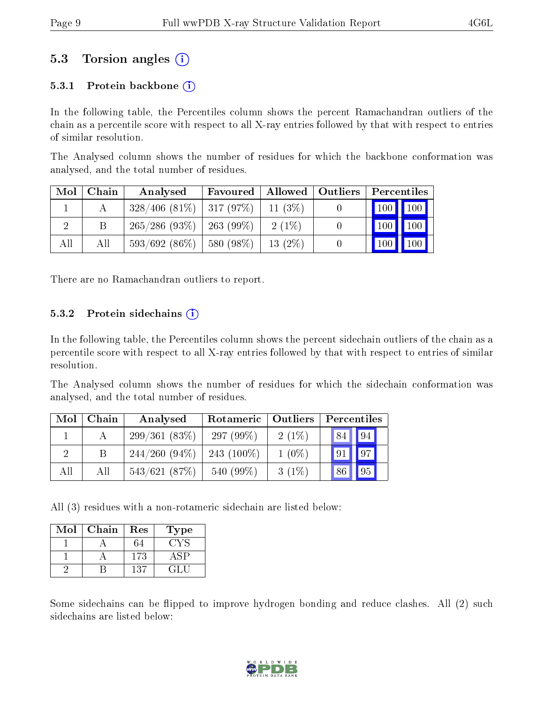#### 5.3 Torsion angles (i)

#### 5.3.1 Protein backbone  $(i)$

In the following table, the Percentiles column shows the percent Ramachandran outliers of the chain as a percentile score with respect to all X-ray entries followed by that with respect to entries of similar resolution.

The Analysed column shows the number of residues for which the backbone conformation was analysed, and the total number of residues.

| Mol | Chain | Analysed                      | Favoured                | Allowed   | <b>Outliers</b> | Percentiles   |     |
|-----|-------|-------------------------------|-------------------------|-----------|-----------------|---------------|-----|
|     |       | $328/406$ (81\%)   317 (97\%) |                         | $11(3\%)$ |                 | $100$   $100$ |     |
|     | B     | 265/286(93%)                  | 263 (99\%)              | $2(1\%)$  |                 | 100           | 100 |
| All | Аll   | $593/692(86\%)$               | $\frac{1}{2}$ 580 (98%) | $13(2\%)$ |                 | $100 \mid$    | 100 |

There are no Ramachandran outliers to report.

#### 5.3.2 Protein sidechains  $(i)$

In the following table, the Percentiles column shows the percent sidechain outliers of the chain as a percentile score with respect to all X-ray entries followed by that with respect to entries of similar resolution.

The Analysed column shows the number of residues for which the sidechain conformation was analysed, and the total number of residues.

| Mol | Chain | Analysed        | Rotameric     | Outliers | Percentiles           |  |  |
|-----|-------|-----------------|---------------|----------|-----------------------|--|--|
|     |       | 299/361(83%)    | 297 $(99\%)$  | $2(1\%)$ | 94<br>84              |  |  |
|     |       | $244/260(94\%)$ | 243 $(100\%)$ | $1(0\%)$ | 97 <sup>1</sup><br>91 |  |  |
| All | All   | 543/621(87%)    | 540 (99%)     | $3(1\%)$ | 95<br>$\sqrt{86}$     |  |  |

All (3) residues with a non-rotameric sidechain are listed below:

| Mol | Chain | Res | Type |
|-----|-------|-----|------|
|     |       |     |      |
|     |       | 173 |      |
|     |       | 137 |      |

Some sidechains can be flipped to improve hydrogen bonding and reduce clashes. All (2) such sidechains are listed below:

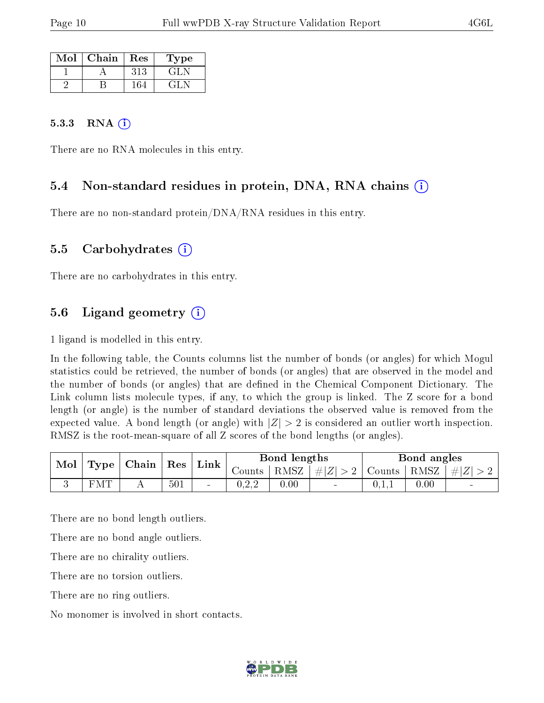| Mol | Chain | Res | Type      |
|-----|-------|-----|-----------|
|     |       | 313 | GLN       |
|     |       |     | $-1$ $-1$ |

#### 5.3.3 RNA  $(i)$

There are no RNA molecules in this entry.

#### 5.4 Non-standard residues in protein, DNA, RNA chains (i)

There are no non-standard protein/DNA/RNA residues in this entry.

#### 5.5 Carbohydrates  $(i)$

There are no carbohydrates in this entry.

#### 5.6 Ligand geometry  $(i)$

1 ligand is modelled in this entry.

In the following table, the Counts columns list the number of bonds (or angles) for which Mogul statistics could be retrieved, the number of bonds (or angles) that are observed in the model and the number of bonds (or angles) that are defined in the Chemical Component Dictionary. The Link column lists molecule types, if any, to which the group is linked. The Z score for a bond length (or angle) is the number of standard deviations the observed value is removed from the expected value. A bond length (or angle) with  $|Z| > 2$  is considered an outlier worth inspection. RMSZ is the root-mean-square of all Z scores of the bond lengths (or angles).

| Mol |     | $\mid$ Type $\mid$ Chain $\mid$ Res $\mid$ | $\perp$ Link $\parallel$ | Bond lengths |      |                | Bond angles |          |                                                                   |
|-----|-----|--------------------------------------------|--------------------------|--------------|------|----------------|-------------|----------|-------------------------------------------------------------------|
|     |     |                                            |                          |              |      |                |             |          | Counts   RMSZ $\mid \#  Z  > 2$   Counts   RMSZ $\mid \#  Z  > 2$ |
|     | FMT | 501                                        | $\sim$                   | りこん          | 0.00 | $\blacksquare$ | 0.1.1       | $0.00\,$ | $\sim$                                                            |

There are no bond length outliers.

There are no bond angle outliers.

There are no chirality outliers.

There are no torsion outliers.

There are no ring outliers.

No monomer is involved in short contacts.

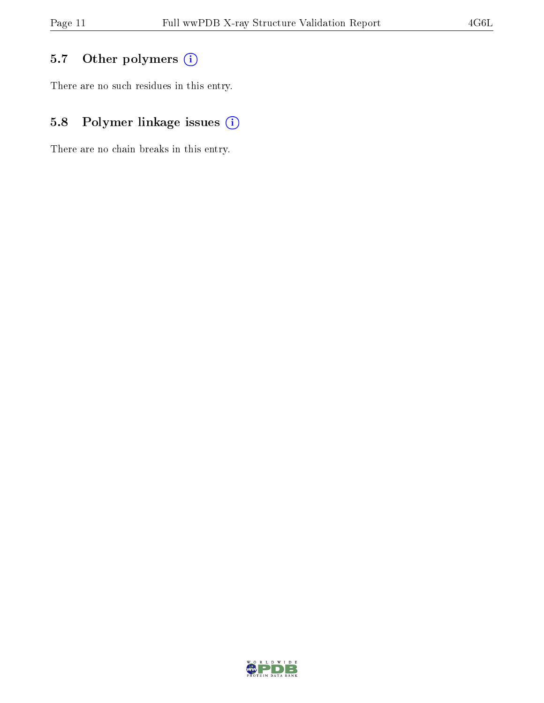### 5.7 [O](https://www.wwpdb.org/validation/2017/XrayValidationReportHelp#nonstandard_residues_and_ligands)ther polymers (i)

There are no such residues in this entry.

### 5.8 Polymer linkage issues (i)

There are no chain breaks in this entry.

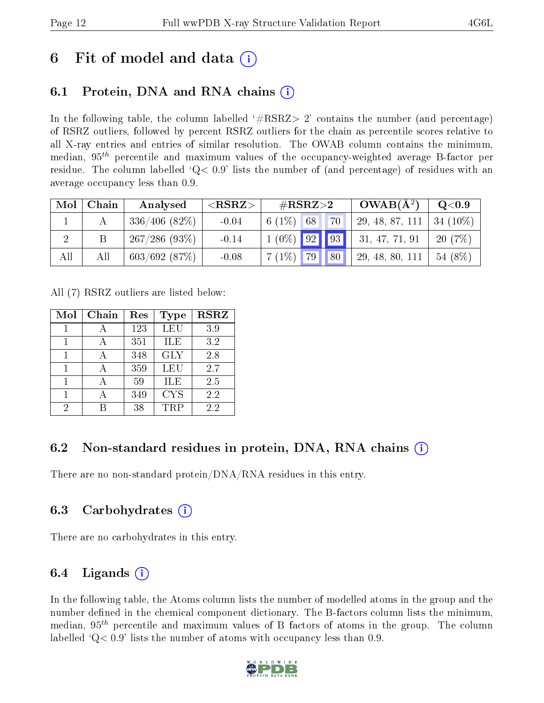## 6 Fit of model and data  $\left( \cdot \right)$

### 6.1 Protein, DNA and RNA chains (i)

In the following table, the column labelled  $#RSRZ>2'$  contains the number (and percentage) of RSRZ outliers, followed by percent RSRZ outliers for the chain as percentile scores relative to all X-ray entries and entries of similar resolution. The OWAB column contains the minimum, median,  $95<sup>th</sup>$  percentile and maximum values of the occupancy-weighted average B-factor per residue. The column labelled ' $Q< 0.9$ ' lists the number of (and percentage) of residues with an average occupancy less than 0.9.

| Mol | Chain | Analysed           | ${ <\hspace{-1.5pt}{\mathrm{RSRZ}} \hspace{-1.5pt}>}$ | $\#\text{RSRZ}\text{>2}$ |                 | $OWAB(A^2)$  | Q <sub>0.9</sub> |            |
|-----|-------|--------------------|-------------------------------------------------------|--------------------------|-----------------|--------------|------------------|------------|
|     |       | $336/406$ $(82\%)$ | $-0.04$                                               | 6 $(1%)$                 | 68              | 70           | 29, 48, 87, 111  | $34(10\%)$ |
|     |       | 267/286(93%)       | $-0.14$                                               | $1(0\%)$ 92              |                 | $\boxed{93}$ | 31, 47, 71, 91   | 20(7%)     |
| All | All   | 603/692(87%)       | $-0.08$                                               | $17(1\%)$                | 79 <sup>'</sup> | 80           | 29, 48, 80, 111  | 54 (8%)    |

All (7) RSRZ outliers are listed below:

| Mol | Chain | Res | Type       | <b>RSRZ</b> |
|-----|-------|-----|------------|-------------|
|     |       | 123 | <b>LEU</b> | 3.9         |
|     |       | 351 | ILE        | 3.2         |
|     |       | 348 | <b>GLY</b> | 2.8         |
|     |       | 359 | LEU        | 2.7         |
|     |       | 59  | <b>ILE</b> | 2.5         |
|     |       | 349 | <b>CYS</b> | 2.2         |
| 2   |       | 38  | TRP        | 2.2         |

### 6.2 Non-standard residues in protein, DNA, RNA chains (i)

There are no non-standard protein/DNA/RNA residues in this entry.

#### 6.3 Carbohydrates (i)

There are no carbohydrates in this entry.

### 6.4 Ligands  $(i)$

In the following table, the Atoms column lists the number of modelled atoms in the group and the number defined in the chemical component dictionary. The B-factors column lists the minimum, median,  $95<sup>th</sup>$  percentile and maximum values of B factors of atoms in the group. The column labelled  $Q< 0.9$ ' lists the number of atoms with occupancy less than 0.9.